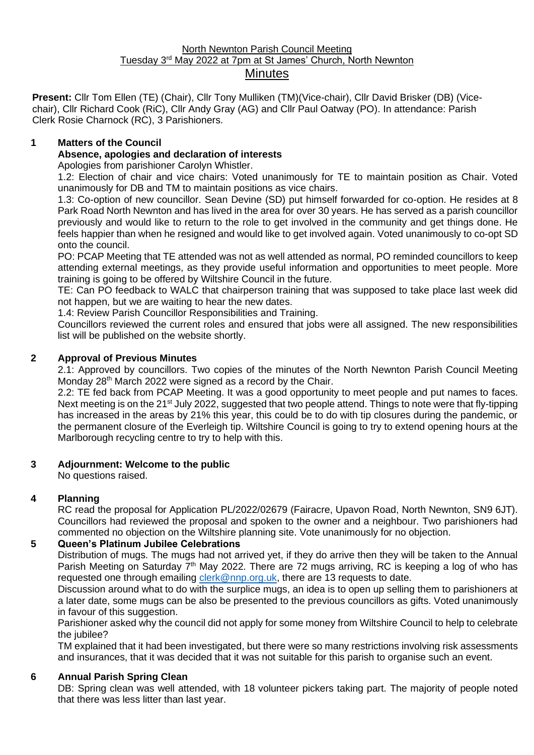#### North Newnton Parish Council Meeting Tuesday 3<sup>rd</sup> May 2022 at 7pm at St James' Church, North Newnton **Minutes**

**Present:** Cllr Tom Ellen (TE) (Chair), Cllr Tony Mulliken (TM)(Vice-chair), Cllr David Brisker (DB) (Vicechair), Cllr Richard Cook (RiC), Cllr Andy Gray (AG) and Cllr Paul Oatway (PO). In attendance: Parish Clerk Rosie Charnock (RC), 3 Parishioners.

## **1 Matters of the Council**

## **Absence, apologies and declaration of interests**

Apologies from parishioner Carolyn Whistler.

1.2: Election of chair and vice chairs: Voted unanimously for TE to maintain position as Chair. Voted unanimously for DB and TM to maintain positions as vice chairs.

1.3: Co-option of new councillor. Sean Devine (SD) put himself forwarded for co-option. He resides at 8 Park Road North Newnton and has lived in the area for over 30 years. He has served as a parish councillor previously and would like to return to the role to get involved in the community and get things done. He feels happier than when he resigned and would like to get involved again. Voted unanimously to co-opt SD onto the council.

PO: PCAP Meeting that TE attended was not as well attended as normal, PO reminded councillors to keep attending external meetings, as they provide useful information and opportunities to meet people. More training is going to be offered by Wiltshire Council in the future.

TE: Can PO feedback to WALC that chairperson training that was supposed to take place last week did not happen, but we are waiting to hear the new dates.

1.4: Review Parish Councillor Responsibilities and Training.

Councillors reviewed the current roles and ensured that jobs were all assigned. The new responsibilities list will be published on the website shortly.

# **2 Approval of Previous Minutes**

2.1: Approved by councillors. Two copies of the minutes of the North Newnton Parish Council Meeting Monday 28<sup>th</sup> March 2022 were signed as a record by the Chair.

2.2: TE fed back from PCAP Meeting. It was a good opportunity to meet people and put names to faces. Next meeting is on the 21<sup>st</sup> July 2022, suggested that two people attend. Things to note were that fly-tipping has increased in the areas by 21% this year, this could be to do with tip closures during the pandemic, or the permanent closure of the Everleigh tip. Wiltshire Council is going to try to extend opening hours at the Marlborough recycling centre to try to help with this.

### **3 Adjournment: Welcome to the public**

No questions raised.

# **4 Planning**

RC read the proposal for Application PL/2022/02679 (Fairacre, Upavon Road, North Newnton, SN9 6JT). Councillors had reviewed the proposal and spoken to the owner and a neighbour. Two parishioners had commented no objection on the Wiltshire planning site. Vote unanimously for no objection.

# **5 Queen's Platinum Jubilee Celebrations**

Distribution of mugs. The mugs had not arrived yet, if they do arrive then they will be taken to the Annual Parish Meeting on Saturday  $7<sup>th</sup>$  May 2022. There are 72 mugs arriving, RC is keeping a log of who has requested one through emailing [clerk@nnp.org.uk,](mailto:clerk@nnp.org.uk) there are 13 requests to date.

Discussion around what to do with the surplice mugs, an idea is to open up selling them to parishioners at a later date, some mugs can be also be presented to the previous councillors as gifts. Voted unanimously in favour of this suggestion.

Parishioner asked why the council did not apply for some money from Wiltshire Council to help to celebrate the jubilee?

TM explained that it had been investigated, but there were so many restrictions involving risk assessments and insurances, that it was decided that it was not suitable for this parish to organise such an event.

### **6 Annual Parish Spring Clean**

DB: Spring clean was well attended, with 18 volunteer pickers taking part. The majority of people noted that there was less litter than last year.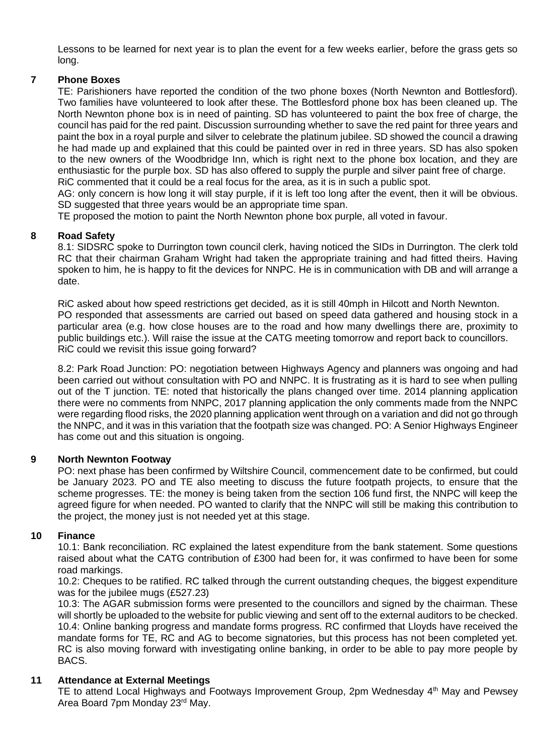Lessons to be learned for next year is to plan the event for a few weeks earlier, before the grass gets so long.

### **7 Phone Boxes**

TE: Parishioners have reported the condition of the two phone boxes (North Newnton and Bottlesford). Two families have volunteered to look after these. The Bottlesford phone box has been cleaned up. The North Newnton phone box is in need of painting. SD has volunteered to paint the box free of charge, the council has paid for the red paint. Discussion surrounding whether to save the red paint for three years and paint the box in a royal purple and silver to celebrate the platinum jubilee. SD showed the council a drawing he had made up and explained that this could be painted over in red in three years. SD has also spoken to the new owners of the Woodbridge Inn, which is right next to the phone box location, and they are enthusiastic for the purple box. SD has also offered to supply the purple and silver paint free of charge. RiC commented that it could be a real focus for the area, as it is in such a public spot.

AG: only concern is how long it will stay purple, if it is left too long after the event, then it will be obvious. SD suggested that three years would be an appropriate time span.

TE proposed the motion to paint the North Newnton phone box purple, all voted in favour.

#### **8 Road Safety**

8.1: SIDSRC spoke to Durrington town council clerk, having noticed the SIDs in Durrington. The clerk told RC that their chairman Graham Wright had taken the appropriate training and had fitted theirs. Having spoken to him, he is happy to fit the devices for NNPC. He is in communication with DB and will arrange a date.

RiC asked about how speed restrictions get decided, as it is still 40mph in Hilcott and North Newnton. PO responded that assessments are carried out based on speed data gathered and housing stock in a particular area (e.g. how close houses are to the road and how many dwellings there are, proximity to public buildings etc.). Will raise the issue at the CATG meeting tomorrow and report back to councillors. RiC could we revisit this issue going forward?

8.2: Park Road Junction: PO: negotiation between Highways Agency and planners was ongoing and had been carried out without consultation with PO and NNPC. It is frustrating as it is hard to see when pulling out of the T junction. TE: noted that historically the plans changed over time. 2014 planning application there were no comments from NNPC, 2017 planning application the only comments made from the NNPC were regarding flood risks, the 2020 planning application went through on a variation and did not go through the NNPC, and it was in this variation that the footpath size was changed. PO: A Senior Highways Engineer has come out and this situation is ongoing.

#### **9 North Newnton Footway**

PO: next phase has been confirmed by Wiltshire Council, commencement date to be confirmed, but could be January 2023. PO and TE also meeting to discuss the future footpath projects, to ensure that the scheme progresses. TE: the money is being taken from the section 106 fund first, the NNPC will keep the agreed figure for when needed. PO wanted to clarify that the NNPC will still be making this contribution to the project, the money just is not needed yet at this stage.

### **10 Finance**

10.1: Bank reconciliation. RC explained the latest expenditure from the bank statement. Some questions raised about what the CATG contribution of £300 had been for, it was confirmed to have been for some road markings.

10.2: Cheques to be ratified. RC talked through the current outstanding cheques, the biggest expenditure was for the jubilee mugs (£527.23)

10.3: The AGAR submission forms were presented to the councillors and signed by the chairman. These will shortly be uploaded to the website for public viewing and sent off to the external auditors to be checked. 10.4: Online banking progress and mandate forms progress. RC confirmed that Lloyds have received the mandate forms for TE, RC and AG to become signatories, but this process has not been completed yet. RC is also moving forward with investigating online banking, in order to be able to pay more people by BACS.

### **11 Attendance at External Meetings**

TE to attend Local Highways and Footways Improvement Group, 2pm Wednesday  $4<sup>th</sup>$  May and Pewsey Area Board 7pm Monday 23rd May.